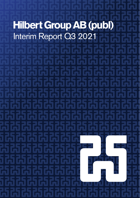# **Hilbert Group AB (publ)** Interim Report Q3 2021

HILBERT GROUP AB (publ) INTERIM REPORT Q3, 2021 1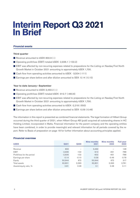## **Interim Report Q3 2021 In Brief**

### **Financial events**

### **Third quarter**

- Revenue amounted to kSEK 832.9 (-)
- Operating profit/loss (EBIT) totaled kSEK -2,936.1 (-102.2)
- **E** EBIT was affected by non-recurring expenses related to preparations for the Listing on Nasdag First North Growth Market in October 2021 amounting to approximately kSEK 1,700.
- Cash flow from operating activities amounted to kSEK -3,504 (-111)
- Earnings per share before and after dilution amounted to SEK -0.14 (-0.10)

### **Year to date January — September**

- Revenue amounted to kSEK 3,492.2  $(-)$
- Operating profit/loss (EBIT) totaled kSEK -912.7 (-460.6)
- **EBIT** was affected by non-recurring expenses related to preparations for the Listing on Nasdaq First North Growth Market in October 2021 amounting to approximately kSEK 1,700.
- Cash flow from operating activities amounted to kSEK -2,218 (-550)
- Earnings per share before and after dilution amounted to SEK -0.09 (-0.46)

The information in this report is presented as combined financial statements. The legal formation of Hilbert Group occurred during the third quarter of 2021, when Hilbert Group AB (publ) acquired all outstanding shares in HC Holding Limited, incorporated in Malta. Financial information for the parent company and the operating entities have been combined, in order to provide meaningful and relevant information for all periods covered by the report. Refer to Basis of preparation on page 18 for further information about accounting principles applied.

### **Financial overview**

| <b>kSEK</b>                | Q321     | Q320                            | <b>Nine months</b><br>2021 | <b>Nine months</b><br>2020 | <b>Full year</b><br>2020 |
|----------------------------|----------|---------------------------------|----------------------------|----------------------------|--------------------------|
| Revenue                    | 833      | $\hspace{0.1mm}-\hspace{0.1mm}$ | 3,492                      |                            | 148                      |
| <b>EBIT</b>                | $-2,936$ | $-102$                          | $-913$                     | $-461$                     | $-788$                   |
| Profit/loss for the period | $-2,606$ | $-102$                          | $-602$                     | $-461$                     | $-788$                   |
| Earnings per share         | $-0.14$  | $-0.10$                         | $-0.09$                    | $-0.46$                    | $-0.79$                  |
| Equity                     | 50,944   | 672                             | 50,944                     | 672                        | 317                      |
| Total assets               | 62,801   | 2,393                           | 62,801                     | 2,393                      | 2,761                    |
| Assets/equity ratio, %     | 0.81     | 0.28                            | 0.1                        | 0.28                       | 0.11                     |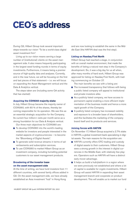# **CEO´s address**

During Q3, Hilbert Group took several important steps towards our vision "To be a world-class digital asset investment firm".

Living up to our vision means serving a large number of (institutional) clients on the asset management side. It also means frequently participating in the largest seed funding rounds in terms of equity investments. Furthermore, it means being a premier source of high-quality data and analyses. Currently, and in the near future, we will be focusing on the first and last pieces of that statement  $-$  i.e. we will focus on expanding the Asset Management vertical and the Data & Analytics vertical.

The steps taken are (including some Q4 activity that has started):

### **Acquiring the COIN360 majority stake**

In July, Hilbert Group became the majority owner of COIN360, with 60 % of the shares, thereby becoming responsible for its operation. We see this as an essential strategic acquisition for the Company. Its current four million+ visits per month serve as a strong foundation for our Data & Analysis vertical.

Our three main objectives for COIN360 are:

- To develop COIN360 into the world's leading website for investors and people interested in the market aspects of cryptocurrencies – to become the "Bloomberg of Digital Assets".
- To generate solid revenue streams in terms of advertisements and subscription services.
- To use COIN360 to market Hilbert Group as an investment company, including funnelling potential customers to our asset management products.

### **Broadening of the investor base on the asset management side**

At the time of writing, we have fund investors from 11 different countries, with several family offices added in Q3. On the asset management side, we have already established an Asia investment "hub" in Hong Kong

and are now looking to establish the same in the Middle East (the HAYVN deal was the first step).

#### **Listing on Nasdaq First North**

Hilbert Group had reached a stage, in conjunction with an overall market environment, that made the benefits of listing a natural next step in the Company's development. So, it was a big day for us all when, after many months of hard work, Hilbert Group was approved for listing on Nasdaq First North, with trading commencing on October 27.

The main benefits we see with a listing are:

- $\blacksquare$  The increased transparency that follows with being a public listed company will appeal to institutional and private investors alike.
- As a publicly listed company, we have access to permanent capital enabling a more efficient implementation of the business model and hence a more rapid growth of the Company.
- A publicly listed company has increased visibility and exposure to a broader base of shareholders, and this facilitates the marketing of the company brand itself and its products and services.

### **Joining forces with HAYVN**

On November 17, Hilbert Group acquired a 2.7% stake in HAYVN, a global investment bank specializing in digital assets. The main reasons for the acquisition are:

- **HAYVN** currently offers OTC trading and custody of digital assets to their customers. Hilbert Group sees a strong growth in the interest in digital currencies in the Middle East, with relatively few players. Operators such as HAYVN will have a distinct early mover advantage.
- If helps us build a hub/platform in a region where we were previously not established and where a lot of capital is available for crypto investments. Hilbert Group will assist HAYVN in expanding their asset management branch and cooperate on product development. This will enable us to market our fund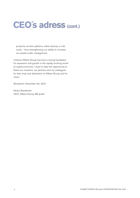# **CEO´s adress (cont.)**

products via their platform, either directly or indirectly – thus strengthening our ability to increase our assets under management.

I believe Hilbert Group has built a strong foundation for expansion and growth in the rapidly evolving world of cryptocurrencies. I want to take this opportunity to thank our investors, our partners and my colleagues for their trust and dedication to Hilbert Group and its vision.

Stockholm, November 30, 2021

Niclas Sandström CEO, Hilbert Group AB (publ)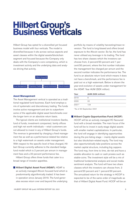## **Hilbert Group's Business Verticals**

Hilbert Group has opted for a diversified yet focused business model with four verticals. The model is diversified because it sits across various aspects and asset classes within the digital assets/blockchain segment and focused because the Company only deals with the Company's core competency, which is investment activity and the underlying data and analysis driving that activity.



#### **Asset Management**

The Asset Management vertical is operated as a traditional regulated fund business. Each fund employs a mix of systematic and discretionary trading. The funds involve active management and aim to outperform some of the applicable digital asset benchmarks over the longer term on an absolute return basis.

The typical clients are institutional investors (banks, fund of funds, investment companies), family offices and high net worth individuals – retail customers are not allowed to invest in any of Hilbert Group's funds. The revenue is generated by charging a fixed management fee as well as a performance-related fee relative to a high watermark on assets under management. With respect to the specific level of fees charged, Hilbert Group currently adheres to the standard hedge fund model which is 2 percent per annum in management fees and a 20 percent performance fee.

Hilbert Group offers three funds that cater to a broad range of investor appetites.

**Hilbert Digital Asset Fund (HDAF).** HDAF is an actively managed Altcoin focused fund which is predominantly algorithmically traded. It has been in operation since January 2019. The fund generates excess return over and beyond the underlying

portfolio by means of volatility harvesting/mean-reversion. The fund is long-biased and offers broad exposure to the Altcoin sector. So far, the fund has never utilised any leverage in its trading. The fund has two share classes which the investors can choose from, 2 percent/20 percent and 1 percent/30 percent, where the first number indicates the management fee charged per annum and the second number indicates the performance fee. The fund is an absolute return fund which means it does not have a benchmark, and the performance fee is paid out vs a high watermark. Below is shown the year-end evolution of assets under management for the HDAF. Year AUM (SEK million).

| <b>AUM (SEK million)</b> |  |
|--------------------------|--|
|                          |  |
| 22                       |  |
| 194                      |  |
|                          |  |

\*As of 30 September 2021

#### **Hilbert Crypto Opportunities Fund (HCOF).**

HCOF will be an actively managed VC flavoured fund with a broad mandate. The main focus of the fund will be to invest in early-stage digital assets with smaller market capitalizations. In particular, the fund will engage in identifying opportunities during the pre-listing stage — mainly digital assets but also blockchain-related equity. The fund may also opportunistically take positions across the market capital structure, including big cappers. The fund may, from time to time, de-risk and have a sizable allocation to cash or cash proxies such as stable-coins. The investment style will be a mix of traditional fundamental analysis and social media sentiment analysis. The fund will have two share classes which the investors can choose from, 2 percent/20 percent and 1 percent/30 percent. The annualised return for the strategy in HCOF is expected to be of the same order of magnitude as that of Hilbert Digital Asset Fund. HCOF will be an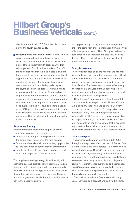## **Hilbert Group's Business Verticals (cont.)**

absolute return fund. HCOF is scheduled to launch during the fourth quarter 2021.

**Hilbert-Syrius Bit+ Fund (HBF).** HBF will be an actively managed fund with the objective of providing more stable returns with less volatility than a pure Bitcoin investment. In particular, the HBF will outperform Bitcoin in bear markets. The '+' in the name signifies that the fund is also allowed to trade a small basket of the largest and most liquid cryptocurrencies on top of Bitcoin. To achieve its investment objective, the fund will hold a cash component that will be volatility traded against the crypto assets in the basket. This fund will be a complement to the other two funds, and part of its purpose is to broaden Hilbert Group's product range and offer investors a more defensive product with substantial upside potential across the business cycle. The fund will have one share class, 2 percent/20 percent and will be an absolute return fund. The target return will be around 30 percent per annum. HBF is scheduled to launch during the fourth quarter 2021.

### **Proprietary Trading**

Proprietary trading means trading part of Hilbert Group's own capital. The objectives are:

- $\blacksquare$  To capture a large part of the projected growth in the digital asset sector over the next decade.
- $\blacksquare$  To opportunistically position the underlying portfolio to take advantage of certain market environments.
- To offer holders of Hilbert Group equity a vertical with "pure" exposure to the asset class.

The proprietary trading strategy is a mix of algorithmic/technical- and discretionary/fundamental trading, focusing on the digital assets with the largest market capitalization and/or the highest liquidity. Importantly, the strategy will never utilise any leverage. The revenue will be generated solely through capital appreciation in the underlying portfolio.

Having proprietary trading and asset management under the same roof implies challenges from a conflict of interest point of view. Hilbert Group will adhere to best practice in this respect and also fully disclose this fact. This vertical will make its first investment during the fourth quarter 2021.

### **Equity Investment**

This vertical focuses on taking majority and minority stakes in blockchain-related companies, using Hilbert Group's own capital. The objective is to generate strong capital appreciation and to provide asset class diversification. The investment process relies mostly on fundamental analysis of the underlying projects, technologies and a thorough assessment of the quality of management of those projects.

Hilbert Group's first equity investment was a 60 per cent majority stake purchase in Pioneer Creator Ltd, a company that owns and operates Coin360. com and associated domains. The acquisition was completed in July 2021 and the purchase price amounted to USD 3 million. The acquisition satisfied two important strategic objectives for Hilbert Group: a) it represents an equity investment that is expected to generate substantial revenue over time and b) it significantly strengthens the Data & Analytics vertical.

### **Data & Analytics**

This business vertical was launched in July 2021 through the acquisition of 60 per cent of Pioneer Creator Ltd which owns and operates Coin 360.com and associated domains. Coin360.com is a live aggregator website for cryptocurrency exchange data such as prices, returns and trading volumes. Coin360.com also offers users many types of lists and diagrams to track different metrics for currencies and exchanges. Coin360.com ranks globally among the largest websites for this type of crypto data and has more than three million unique visits per month.

The business model for Coin360.com is partly SaaS (software as a service) and partly advertising/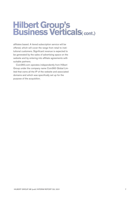## **Hilbert Group's Business Verticals( cont.)**

affiliates based. A tiered subscription service will be offered, which will cover the range from retail to institutional customers. Significant revenue is expected to be generated by the sales of advertising space on the website and by entering into affiliate agreements with suitable partners.

Coin360.com operates independently from Hilbert Group under the company name Coin360 Global Limited that owns all the IP of the website and associated domains and which was specifically set up for the purpose of the acquisition.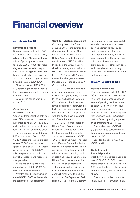# **Financial overview**

### **July—September 2021**

### **Revenue and results**

Revenue increased to kSEK 833 (—). Revenue for the period mainly relates to Fund Management operations. Operating result amounted to kSEK -2,936 (-102). Non-recurring expenses related to preparations for the listing on Nasdaq First North Growth Market in October 2021 affected operating expenses by approximately kSEK 1,700.

Financial net was kSEK 330 (—), pertaining to currency translation effects on receivables denominated in USD.

Loss for the period was kSEK -2,606 (-102)

### **Cash flow and financial position**

Cash flow from operating activities was kSEK -3,504 (-111). Investments amounted to kSEK -25,163 (-33), mainly related to the acquisition of Coin360, further described below

Financing activities contributed kSEK 60,173 (—), of which kSEK 53,400 relating to issuing of a total of 44,000,000 new shares, with quotient value of SEK 0.05, ahead of the listing, and kSEK 9,330 for advance payments in relation to new shares issued and registered after period-end.

At the end of the period, the Group had kSEK 34,176 (693) in cash and cash equivalents.

After the period Hilbert Group received kSEK 38,000 as the remaining part of the private placement.

### **Coin360 — Strategic investment**

On 20 July 2021, the Group acquired 60% of the outstanding share capital of Pioneer Creator Ltd, an entity incorporated in the British Virgin Islands, for a total consideration of USD 3 million. In addition, the Group has provided a monetary contribution of USD 200,000 to Pioneer Creator Ltd. On 26 August 2021 it was resolved to change the name of Pioneer Creator Ltd to Coin360 Global Limited.

COIN360, one of the world's most popular cryptocurrency market data aggregators, is known for its iconic heatmap found on COIN360.com. The investment forms a basis for Hilbert Group's build-up of its data analytics business area, in close co-operation with the partners Cointelegraph and Chiron Partners.

COIN360 is consolidated by Hilbert Group from the date of acquisition and has during the third quarter contributed kSEK 326 to total revenue and kSEK -268 to operating result. The legal entity Pioneer Creator Ltd had no significant operations prior to the acquisition, thus the consolidated revenue and operating result substantially equals the effect on Hilbert Group, would the entire 2021 result be consolidated.

The consideration paid, net of cash acquired, is presented as goodwill, amounting to SEK 26 million as of 30 September, 2021. Hilbert Group is currently performing analyses in order to accurately establish the identifiable assets, such as domain name, source code, trademark or other intellectual property rights, that have been acquired, and to assess fair value of each separate asset. No significant assets, other than cash and intangible assets, nor any significant liabilities were included in the acquisition.

### **January—September 2021**

### **Revenue and results**

Revenue increased to kSEK 3,492 (—). Revenue for the period mainly relates to Fund Management operations. Operating result amounted to kSEK -913 (-461). Non-recurring expenses related to preparations for the listing on Nasdaq First North Growth Market in October 2021 affected operating expenses by approximately kSEK 1,700.

Financial net was kSEK 311 (—), pertaining to currency translation effects on receivables denominated in USD.

Loss for the period was -602 kSEK (-461)

### **Cash flow and financial position**

Cash flow from operating activities was kSEK -2,218 (-550). Investments amounted to kSEK -25,255 (-53), mainly related to the acquisition of Coin360, further described above.

Financing activities contributed kSEK 60,173 (—), of which kSEK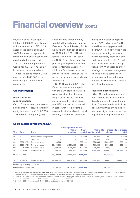## **Financial overview (cont.)**

53,400 relating to issuing of a total of 44,000,000 new shares, with quotient value of SEK 0,05, ahead of the listing, and kSEK 9,330 for advance payments in relation to new shares issued and registered after period-end.

At the end of the period, the Group had SEK 34,176 (692,7) in cash and cash equivalents.

After the period Hilbert Group received kSEK 38,000 as the remaining part of the private placement.

### **Other information**

### **Events after the reporting period**

On 21 October 2021, 3,800,000 new shares were issued, whereby equity increased by kSEK 38,000.

The Hilbert Group AB (publ)

series B share (ticker HILB B) was listed for trading on Nasdaq First North Growth Market, Stockholm, with the first day of trading on 27 October 2021. Hilbert Group raised mSEK 88, equaling SEK 10 per share, through a pre-listing in September, please refer to information above. No additional funds were raised as part of the listing, that was well received by the stock-market during the first day.

On 17 November 2021, Hilbert Group announces the acquisition of a 2.7% stake in HAYVN, a global investment bank specializing in digital assets. The transaction amount for Hilbert Group was USD 1 million, to be settled in cash. HAYVN is providing a regulated institutional grade digital currency platform that offers OTC

trading and custody of digital assets. HAYVN is based in Abu-Dhabi and has a strong presence in the MENA region. HAYVN is in the process of securing the most extensive regulatory licenses in both Switzerland and the UAE. As part of the investment, Hilbert Group will aid HAYVN in expanding their offerings on the asset management side and the two companies will be strategic partners in terms of product development and distribution of fund products.

### **Risks and uncertainties**

Hilbert Group faces a number of risks and uncertainties that may directly or indirectly impact operations. These uncertainties include risk factors particularly related to trading of digital assets as well as regulatory and legal risks, as the

| <b>Share capital development, SEK</b> |  |  |  |  |
|---------------------------------------|--|--|--|--|
|---------------------------------------|--|--|--|--|

|      | <b>Subscription of which:</b>      |                              |            |                         |                         |                                |                        |                         |
|------|------------------------------------|------------------------------|------------|-------------------------|-------------------------|--------------------------------|------------------------|-------------------------|
| Year | <b>Date</b>                        | <b>Event</b>                 |            | <b>Share</b><br>premium | <b>Share</b><br>capital | <b>Share</b><br>capital; total | No of shares<br>change | No of shares:<br>total  |
| 2017 | $\overline{\phantom{a}}$           | Formation and incorporation  |            |                         | 50,000                  | 50,000                         | 50,000                 | 50,000                  |
| 2017 | $\qquad \qquad -$                  | Split 1:20                   |            |                         |                         | 50,000                         | 950,000                | 1,000,000               |
| 2021 | 2021-07-01                         | New share issue              | 500,000    | -                       | 500,000                 | 550,000                        | 10,000,000             | 11,000,000              |
| 2021 | 2021-07-01                         | New share issue <sup>1</sup> | 30,000,000 | 29,850,000              | 150,000                 | 700.000                        | 3,000,000              | 14,000,000              |
| 2021 | 2021-09-08                         | New share issue <sup>1</sup> | 20,000,000 | 19,900,000              | 100,000                 | 800,000                        | 2,000,000              | 16,000,000              |
| 2021 | 2021-09-17                         | New share issue <sup>2</sup> | 2.900.000  | 1.450.000               | 1.450.000               | 2,250,000                      | 29,000,000             | 45,000,0003             |
|      | On 30 Sept 2021                    |                              | 53,400 000 | 51.200.000              | 2,250,000               |                                | 45,000,000             |                         |
| 2021 | 2021-10-21                         | New share issue <sup>1</sup> | 38,000,000 | 37.810.000              | 190,000                 | 2,440,000                      | 3.800.000              | 48,800,000 <sup>4</sup> |
|      | On first day of trading 27 Oct and |                              |            |                         |                         |                                |                        |                         |
|      | Q321 release 30 Nov 2021           |                              | 91,400,000 | 89,010,000              | 2,440,000               |                                | 48,800,000             |                         |

<sup>1</sup> Pre-Listing private placement totaling SEK 88,0 million; subscribed as Units of 1 share series B + 1 warrant entitling to subscription of 1 share series B. Warrants issued at 0 (nil) consideration. Refer to Warrants to investors section in this report for further details.

<sup>2</sup> Of which 8 500 000 series A shares and 20 500 000 series B shares. Voting rights: series A shares 10 votes per share, series B shares 1 vote per share.

<sup>3</sup> Of which 8 500 000 series A and 36 500 000 series B; quotient value 0.05 SEK

<sup>4</sup> Of which 8 500 000 series A and 40 300 000 series B; quotient value 0.05 SEK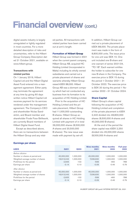# **Financial overview (cont.)**

digital assets industry is largely unregulated or lightly regulated in most countries. For a more detailed description of risks and uncertainties, refer to the Hilbert Group Company Description dated 21 October 2021, available on www.hilbert.group.

### **Transactions with related parties**

On 1 January 2019, Hilbert Capital Ltd and the Hilbert Digital Asset Fund entered into a management agreement. Either party may terminate the agreement at any time by giving 60 days written notice Hilbert Capital Ltd receives payment for its services rendered under the management agreement. The Company's CEO and shareholder Niclas Sandström, and Board member and shareholder Frode Foss-Skiftesvik, are currently Board members of Hilbert Digital Asset Fund.

Except as described above, there are no transactions between the Hilbert Group and any related parties. All transactions with related parties have been carried out at arm's length.

### **Formation of Hilbert Group**

Hilbert Group was formed in 2021 when the current parent company, Hilbert Group AB, acquired HC Holding Limited (incorporated in Malta) including its wholly owned subsidiaries and carried out a private placement of shares and warrants whereby Hilbert Group raised kSEK 88,000. Hilbert Group AB was a dormant company which had not conducted any business from its formation to its acquisition of HC Holding Limited.

Prior to the acquisition of HC Holding Limited and the private placement, Hilbert Group had 11,000,000 outstanding B-shares. Hilbert Group acquired all shares in HC Holding Limited with payment of in total 29,000,000 shares (8,500,000 A-shares and 20,500,000 B-shares). The new issue was made with payment by set-off.

In addition, Hilbert Group carried out a private placement of kSEK 88,000. The private placement was made in the form of 8,800,000 units. The issue price for one unit was SEK 10. One unit included one B-share and one warrant of series 2021/24, "TO 1B". Each warrant entitles the holder to subscribe for one new B-share in the Company. The exercise price is SEK 15 during the period 1 October 2021– 31 October 2022. The exercise price is SEK 20 during the period 1 November 2022 —31 October 2024.

### **Share Capital**

Hilbert Group's share capital following the acquisition of HC Holding Limited and completion of the private placement is kSEK 2,440 divided into 48,800,000 shares (8,500,000 A-shares and 40,300,000 B-shares).

At the end of the period the share capital was kSEK 2,250 divided into 45,000,000 shares (8,500,000 A-shares and

| <b>kSEK</b>                       | Q321       | Q320      | <b>Nine months</b><br>2021 | <b>Nine months</b><br>2020 | <b>Full year</b><br>2020 |
|-----------------------------------|------------|-----------|----------------------------|----------------------------|--------------------------|
|                                   |            |           |                            |                            |                          |
| Before dilution                   |            |           |                            |                            |                          |
| Number or shares at period-end    | 45,000,000 | 1,000,000 | 45,000,000                 | 1.000.000                  | 1,000,000                |
| Weighted average number of shares | 18,913,043 | 1,000,000 | 7,036,630                  | 1,000,000                  | 1,000,000                |
| Profit/loss for the period        | $-2,605$   | $-102$    | $-599$                     | $-460$                     | $-788$                   |
| Earnings per share                | $-0.14$    | $-0.10$   | $-0.09$                    | $-0.46$                    | $-0.79$                  |
| After dilution                    |            |           |                            |                            |                          |
| Number or shares at period-end    | 45,000,000 | 1,000,000 | 45,000,000                 | 1.000.000                  | 1,000,000                |
| Weighted average number of shares | 18,913,043 | 1,000,000 | 7,036,630                  | 1.000.000                  | 1,000,000                |
| Profit/loss for the period        | $-2.605$   | $-102$    | $-599$                     | $-460$                     | $-788$                   |
| Earnings per share                | $-0.14$    | $-0.10$   | $-0.09$                    | $-0.46$                    | $-0.79$                  |

### **Earnings per share**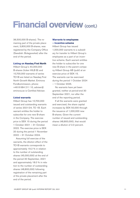## **Financial overview (cont.)**

36,500,000 B-shares). The remaining part of the private placement, 3,800,000 B-shares, was registered by the Company Office (Swedish: Bolagsverket) after the end of the period.

### **Listing on Nasdaq First North**

Hilbert Group's 40,300,000 B-shares (ticker HILB B) and 10,700,000 warrants of series TO1B are listed on Nasdaq First North Growth Market. Eminova Fondkommission, phone: +46 8 684 211 10, adviser@ eminova.se is Certified Adviser.

#### **Listed warrants**

Hilbert Group has 10,700,000 issued and outstanding warrants of series 2021/24, TO 1B. Each warrant entitles the holder to subscribe for one new B-share in the Company. The exercise price is SEK 15 during the period 1 October 2021 – 31 October 2022. The exercise price is SEK 20 during the period 1 November 2022 — 31 October 2024.

Assuming full exercise of the warrants, the dilution effect of the TO1B warrants corresponds to approximately 19.2 % in relation to the number of outstanding shares (45,000,000) at the end of the period 30 September, 2021 and approximately 18.0 % in relation to the number of outstanding shares (48,800,000) following registration of the remaining part of the private placement after the end of the period.

### **Warrants to employees — Incentive scheme**

Hilbert Group has issued 1,000,000 warrants to a subsidiary for transfer to Hilbert Group's employees as a part of an incentive scheme. Each warrant entitles the holder to subscribe for one new B-share in the parent company Hilbert Group AB (publ) at an exercise price of SEK 15. The warrants can be exercised during the period 1 October 2024 – 1 October 2025.

No warrants have yet been granted, neither at period-end 30 September 2021, nor after the end of the reporting period.

If all the warrants were granted and exercised, the share capital increases by SEK 50,000 through the issuance of 1,000,000 new B-shares. Given the current number of issued and outstanding shares (48,800,000), that would mean a dilution of 2.0 percent.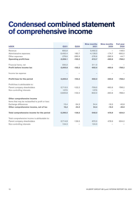### **Condensed combined statement of comprehensive income**

| <b>kSEK</b>                                       | Q321       | Q320     | <b>Nine months</b><br>2021 | <b>Nine months</b><br>2020 | <b>Full year</b><br>2020 |
|---------------------------------------------------|------------|----------|----------------------------|----------------------------|--------------------------|
| Revenue                                           | 832,9      |          | 3,492.2                    |                            | 148.5                    |
| Administrative expenses                           | $-3,492.4$ | 183.7    | $-4,128.3$                 | $-174.7$                   | $-892.0$                 |
| Other expenses                                    | $-276.6$   | $-285.9$ | $-276.6$                   | $-285.9$                   | $-44.7$                  |
| <b>Operating profit/loss</b>                      | $-2,936.1$ | $-102.2$ | $-912.7$                   | $-460.6$                   | $-788.2$                 |
| Financial items, net                              | 330,3      |          | 311.0                      |                            |                          |
| Profit before income tax                          | $-2,605.8$ | $-102.2$ | $-602.0$                   | $-460.6$                   | $-788.2$                 |
| Income tax expense                                |            |          |                            |                            |                          |
| Profit/loss for the period                        | $-2,605.8$ | $-102.2$ | $-602.0$                   | $-460.6$                   | $-788.2$                 |
| Profit/loss is attributable to:                   |            |          |                            |                            |                          |
| Parent company shareholders                       | $-2,713.3$ | $-102.2$ | $-709.0$                   | $-460.6$                   | $-788.2$                 |
| Non-controlling interests                         | 107.5      |          | 107.5                      |                            |                          |
|                                                   | $-2,605.8$ | $-102.2$ | $-602.0$                   | $-460.6$                   | $-788.2$                 |
| Other comprehensive income                        |            |          |                            |                            |                          |
| Items that may be reclassified to profit or loss: |            |          |                            |                            |                          |
| Exchange differences                              | 15.4       | $-34.3$  | 54.4                       | $-18.3$                    | $-45.8$                  |
| Other comprehensive income, net of tax            | 15,4       | $-34.3$  | 54.4                       | $-18.3$                    | $-45.8$                  |
| Total comprehensive income for the period         | $-2,590.5$ | $-136.5$ | $-548.0$                   | $-478.9$                   | $-834.0$                 |
| Total comprehensive income is attributable to:    |            |          |                            |                            |                          |
| Parent company shareholders                       | $-2,714.8$ | $-136.5$ | $-672.0$                   | $-478.9$                   | $-834.0$                 |
| Non-controlling interests                         | 124.3      |          | 124.3                      |                            |                          |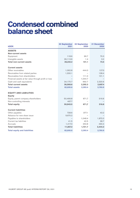### **Condensed combined balance sheet**

| <b>kSEK</b>                                           | 30 September<br>2021 | <b>30 September</b><br>2020 | <b>31 December</b><br>2020 |
|-------------------------------------------------------|----------------------|-----------------------------|----------------------------|
| <b>ASSETS</b>                                         |                      |                             |                            |
| <b>Non-current assets</b>                             |                      |                             |                            |
| Equipment                                             | 118.6                | 99.7                        | 70.3                       |
| Intangible assets                                     | 26,113.6             | 1.4                         | 3.2                        |
| <b>Total non-current assets</b>                       | 26,232.2             | 101.1                       | 73.5                       |
| <b>Current assets</b>                                 |                      |                             |                            |
| Other receivables                                     | 1,062.8              | 444.0                       | 127.3                      |
| Receivables from related parties                      | 1,330.1              |                             | 138.4                      |
| Receivables from shareholders                         |                      | 111.0                       | 101.1                      |
| Financial assets at fair value through profit or loss |                      | 1,044.7                     |                            |
| Cash and cash equivalents                             | 34,175.7             | 692.7                       | 2,320.6                    |
| <b>Total current assets</b>                           | 36,568.6             | 2,292.3                     | 2,687.4                    |
| <b>Total assets</b>                                   | 62,800.8             | 2,393.4                     | 2,760.9                    |
| <b>EQUITY AND LIABILITIES</b><br><b>Equity</b>        |                      |                             |                            |
| Equity, parent company shareholders                   | 50,466.8             | 671,7                       | 316.6                      |
| Non-controlling interests                             | 467.7                |                             |                            |
| <b>Total equity</b>                                   | 50,943.5             | 671,7                       | 316.6                      |
| <b>Current liabilities</b>                            |                      |                             |                            |
| Other payables                                        | 728.6                | 377.1                       | 43.2                       |
| Advance for new share issue                           | 9,670.2              |                             |                            |
| Payables to shareholders                              |                      | 1,048.4                     | 1,872.0                    |
| Current tax liabilities                               | 41.5                 | 42.5                        | 38.7                       |
| Accruals                                              | 1,417.0              | 253.8                       | 490.4                      |
| <b>Total liabilities</b>                              | 11,857.3             | 1,721.7                     | 2,444.3                    |
| <b>Total equity and liabilities</b>                   | 62,800.8             | 2,393.4                     | 2,760.9                    |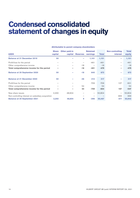### **Condensed consolidated statement of changes in equity**

| <b>kSEK</b>                                        | <b>Share</b><br>capital | <b>Other paid-in</b><br>capital | <b>Reserves</b> | <b>Retained</b><br>earnings | <b>Total</b> | <b>Non-controlling</b><br>interest | <b>Total</b><br>equity |
|----------------------------------------------------|-------------------------|---------------------------------|-----------------|-----------------------------|--------------|------------------------------------|------------------------|
| <b>Balance at 31 December 2019</b>                 | 50                      |                                 |                 | 1,101                       | 1,151        | ÷                                  | 1,151                  |
| Profit/loss for the period                         |                         |                                 |                 | $-461$                      | $-461$       | $\overline{\phantom{0}}$           | $-461$                 |
| Other comprehensive income                         |                         |                                 | $-18$           | $\qquad \qquad$             | $-18$        | -                                  | $-18$                  |
| Total comprehensive income for the period          |                         |                                 | $-18$           | $-461$                      | $-479$       | -                                  | $-479$                 |
| <b>Balance at 30 September 2020</b>                | 50                      |                                 | $-18$           | 640                         | 672          | $\overline{\phantom{a}}$           | 672                    |
| <b>Balance at 31 December 2020</b>                 | 50                      |                                 | $-46$           | 312                         | 317          | $\sim$                             | 317                    |
| Profit/loss for the period                         |                         |                                 |                 | $-709$                      | $-709$       | 107                                | $-601$                 |
| Other comprehensive income                         |                         |                                 | 54              |                             | 54           |                                    | 54                     |
| Total comprehensive income for the period          |                         |                                 | 54              | $-709$                      | $-654$       | 107                                | $-547$                 |
| New share issues                                   | 2,200                   | 48,604                          |                 | $\overline{\phantom{m}}$    | 50,804       | $\qquad \qquad -$                  | 50,804                 |
| Non-controlling interest on subsidiary acquisition |                         |                                 |                 |                             |              | 369                                | 369                    |
| <b>Balance at 30 September 2021</b>                | 2,250                   | 48,604                          | 9               | $-396$                      | 50,467       | 477                                | 50,943                 |

#### **Attributable to parent company shareholders**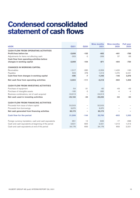### **Condensed consolidated statement of cash flows**

| <b>kSEK</b>                                             | Q321      | Q320                     | <b>Nine months</b><br>2021 | <b>Nine months</b><br>2020 | <b>Full year</b><br>2020 |
|---------------------------------------------------------|-----------|--------------------------|----------------------------|----------------------------|--------------------------|
| <b>CASH FLOW FROM OPERATING ACTIVITIES</b>              |           |                          |                            |                            |                          |
| Profit/loss before tax                                  | $-2,606$  | $-102$                   | $-602$                     | $-461$                     | $-788$                   |
| Adjustments for items not affecting cash:               | $-303$    | $-2$                     | $-269$                     | 57                         | 68                       |
| Cash flow from operating activities before              |           |                          |                            |                            |                          |
| changes in working capital                              | $-2,909$  | $-104$                   | $-871$                     | $-404$                     | $-720$                   |
| <b>CHANGES IN WORKING CAPITAL</b>                       |           |                          |                            |                            |                          |
| Receivables                                             | $-1,517$  | $-285$                   | $-2,359$                   | $-1,420$                   | $-163$                   |
| Payables                                                | 923       | 278                      | 1,013                      | 1,274                      | 2,241                    |
| Cash flow from changes in working capital               | $-595$    | $-7$                     | $-1,346$                   | $-146$                     | 2,078                    |
| Net cash flow from operating activities                 | $-3,504$  | $-111$                   | $-2,218$                   | $-550$                     | 1,358                    |
| <b>CASH FLOW FROM INVESTING ACTIVITIES</b>              |           |                          |                            |                            |                          |
| Purchase of equipment                                   | $-54$     | $-31$                    | $-60$                      | $-49$                      | $-49$                    |
| Purchase of intangible assets                           | $-195$    | $-2$                     | $-282$                     | $-4$                       | $-4$                     |
| Business combinations, net of cash acquired             | $-24,913$ | $\overline{\phantom{m}}$ | $-24,913$                  |                            |                          |
| Net cash used in investing activities                   | $-25,163$ | $-33$                    | $-25,255$                  | $-53$                      | $-53$                    |
| <b>CASH FLOW FROM FINANCING ACTIVITIES</b>              |           |                          |                            |                            |                          |
| Proceeds from issue of share capital                    | 50,503    | $\qquad \qquad -$        | 50,503                     |                            |                          |
| Proceeds from borrowings                                | 9.670     | $\overline{\phantom{0}}$ | 9.670                      |                            |                          |
| Net cash generated from financing activities            | 60,173    | $\overline{\phantom{a}}$ | 60,173                     |                            |                          |
| <b>Cash flow for the period</b>                         | 31,506    | $-144$                   | 32,700                     | $-603$                     | 1,305                    |
| Foreign currency translation, cash and cash equivalents | $-951$    | 12                       | $-845$                     | $-17$                      | $-298$                   |
| Cash and cash equivalents at beginning of the period    | 3,621     | 825                      | 2,321                      | 1,313                      | 1,313                    |
| Cash and cash equivalents at end of the period          | 34,176    | 693                      | 34,176                     | 693                        | 2.321                    |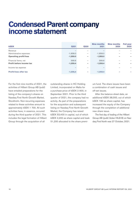### **Condensed Parent company income statement**

| <b>kSEK</b>                  | Q321       | Q320                     | <b>Nine months</b><br>2021 | <b>Nine months</b><br>2020 | <b>Full year</b><br>2020 |
|------------------------------|------------|--------------------------|----------------------------|----------------------------|--------------------------|
| Revenue                      |            |                          |                            |                            |                          |
| Administrative expenses      | $-1,958.0$ | -                        | $-1,958.0$                 |                            |                          |
| <b>Operating profit/loss</b> | $-1,958.0$ | -                        | $-1,958.0$                 |                            |                          |
| Financial items, net         | 399.6      | $\overline{\phantom{0}}$ | 399.6                      |                            |                          |
| Profit before income tax     | $-1,558.4$ | -                        | $-1,558.4$                 |                            |                          |
| Income tax expense           |            | -                        |                            |                            |                          |
| <b>Profit/loss after tax</b> | $-1,558,4$ | I                        | $-1,558.4$                 |                            |                          |

For the first nine months of 2021, the activities of Hilbert Group AB (publ) have entailed preparations for the listing of the company's shares on Nasdaq First North Growth Market, Stockholm. Non-recurring expenses related to these activities amount to approximately kSEK 1 700. All such activities have, in essence, occured during the third quarter of 2021. This includes the legal formation of Hilbert Group through the acquisition of all

outstanding shares in HC Holding Limited, incorporated on Malta for a purchase price of kSEK 2 900, in September 2021. Prior to the third quarter of 2021, the company had no activity. As part of the preparations for the acquisition and subsequent listing on Nasdaq First North Growth Market, the Company has raised kSEK 53,400 in capital, out of which kSEK 2,200 as share capital and ksek 51,200 allocated to the share premium fund. The share issues have been a combination of cash issues and off-set issues.

After the balance sheet date, an additional kSEK 38,000, out of which kSEK 190 as share capital, has increased the equity of the Company through the completion of additional new share issue.

The first day of trading of the Hilbert Group AB (publ) (ticker HILB B) on Nasdaq First North was 27 October, 2021.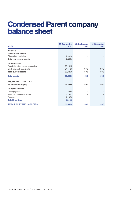### **Condensed Parent company balance sheet**

| <b>kSEK</b>                         | <b>30 September</b><br>2021 | <b>30 September</b><br>2020 | <b>31 December</b><br>2020 |
|-------------------------------------|-----------------------------|-----------------------------|----------------------------|
| <b>ASSETS</b>                       |                             |                             |                            |
| <b>Non-current assets</b>           |                             |                             |                            |
| Shares in subsidiaries              | 2,900.0                     |                             |                            |
| <b>Total non-current assets</b>     | 2,900.0                     |                             |                            |
| <b>Current assets</b>               |                             |                             |                            |
| Receivables from group companies    | 28,131.5                    |                             |                            |
| Cash and cash equivalents           | 24,513.5                    | 50.0                        | 50.0                       |
| <b>Total current assets</b>         | 52,645.0                    | 50.0                        | 50.0                       |
| <b>Total assets</b>                 | 55,545.0                    | 50.0                        | 50.0                       |
| <b>EQUITY AND LIABILITIES</b>       |                             |                             |                            |
| <b>Shareholders' equity</b>         | 51,892.0                    | 50.0                        | 50.0                       |
| <b>Current liabilities</b>          |                             |                             |                            |
| Other payables                      | 728.8                       |                             |                            |
| Advance for new share issue         | 1,758.2                     |                             |                            |
| Accruals                            | 1,166.0                     |                             |                            |
| <b>Total liabilities</b>            | 3,653.0                     |                             |                            |
| <b>TOTAL EQUITY AND LIABILITIES</b> | 55,545.0                    | 50.0                        | 50.0                       |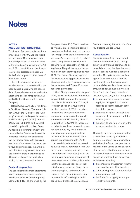### **Notes**

### **NOTE 1 ACCOUNTING PRINCIPLES**

This Interim Report complies with the provisions of IAS 34, and the report for the Parent Company has been prepared pursuant to the provisions of the Swedish Annual Accounts Act and RFR 2. In addition to the financial statements, disclosures under IAS 34.16A also appear in other parts of the interim report.

This note describes the comprehensive basis of preparation which has been applied in preparing the consolidated financial statement, as well as the accounting policies for specific areas applied by the Group and the Parent **Company** 

Hilbert Group AB's city of residence is Stockholm, Sweden. The terms "Hilbert Group", the "Group" or the "Company" refers, depending on the context, to Hilbert Group AB (publ) (corporate ID No. 559105-2948) or the consolidated Group in which Hilbert Group AB (publ) is the Parent company and its subsidiaries. Enumerated amounts presented in tables and statements may not always agree with the calculated sum of the related line items due to rounding differences. The aim is for each line item to agree with its source and therefore there may be rounding differences affecting the total when adding up the presented line items.

### **Basis of preparation**

The consolidated financial statements have been prepared in accordance with International Financial Reporting Standards (IFRS) as endorsed by the

European Union (EU). The consolidated financial statements have been prepared under the historical cost convention, except for financial instruments at fair value. As required by IAS 1, Hilbert Group companies apply uniform accounting rules, irrespective of national legislation. The policies set out below have been consistently applied to year 2021. The Parent Company applies the same accounting principles as the Group, except in the cases specified in the section entitled 'Parent Company accounting principles´.

Hilbert Group's information for year 2021, as well as historical information for year 2020, is presented as combined financial statements. The legal formation of Hilbert Group during the third quarter of 2021 comprised transactions between entities that were under common control via ultimate owners of HC Holding Limited, (registration No.C89451), incorporated in Malta. As these transactions are not covered by any IFRS standard, a suitable accounting principle for the historical information has been applied in accordance with IAS 8.

An established method, assessed as suitable for Hilbert Group, is to use the previous carrying amount (predecessor basis of accounting), which is the principle applied in preparation of these statements. In short, this entails that the assets and liabilities of the units forming part of the Group have been aggregated and recognized based on the carrying amounts they represent in HC Holding Limited's consolidated financial statements as

from the date they became part of the HC Holding Limited Group.

#### **Consolidation**

Subsidiaries are fully consolidated from the date on which the Group achieves control and continues to be consolidated until the date that such control ceases. Control is achieved when the Group is exposed, or has rights, to variable returns from its involvement with the investee and has the ability to affect those returns through its power over the investee. Specifically, the Group controls an investee if, and only if, the Group has:

- power over the investee (i.e. existing rights that give it the current ability to direct the relevant activities of the investee);
- exposure, or rights, to variable returns from its involvement with the investee; and
- $\blacksquare$  the ability to use its power over the investee to affect its returns.

Generally, there is a presumption that a majority of voting rights result in control. To support this presumption and when the Group has less than a majority of the voting or similar rights of an investee, the Group considers all relevant facts and circumstances in assessing whether it has power over an investee, including:

- $\blacksquare$  the contractual arrangement with the other vote holders of the investee;
- $\blacksquare$  rights arising from other contractual arrangements; and
- $\blacksquare$  the Group's voting rights and potential voting rights.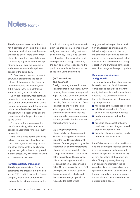The Group re-assesses whether or not it controls an investee if facts and circumstances indicate that there are changes to one or more of the three elements of control. Consolidation of a subsidiary begins when the Group obtains control over the subsidiary and ceases when the Group loses control of the subsidiary.

Profit or loss and each component of OCI are attributed to the equity holders of the parent of the Group and to the non-controlling interests, even if this results in the non-controlling interests having a deficit balance.

Upon consolidation, inter-company transactions, balances and unrealised gains on transactions between Group companies are eliminated. Accounting policies of subsidiaries have been changed where necessary to ensure consistency with the policies adopted by the Group.

A change in the ownership interest of a subsidiary, without a loss of control, is accounted for as an equity transaction.

If the Group loses control over a subsidiary, it derecognises the related assets, liabilities, non-controlling interest and other components of equity while any resultant gain or loss is recognised in profit or loss. Any investment retained is recognised at fair value.

#### **Foreign currency translation**

The Group's consolidated financial statements are presented in Swedish kronor (SEK), which is also the Parent company's functional currency. For each entity, the Group determines the

functional currency and items included in the financial statements of each entity are measured using that functional currency. The Group uses the direct method of consolidation and on disposal of a foreign operation, the gain or loss that is reclassified to profit or loss reflects the amount that arises from using this method

### **(a) Transactions and balances**

Foreign currency transactions are translated into the functional currency using the exchange rates prevailing at the dates of the transactions. Foreign exchange gains and losses resulting from the settlement of such transactions and from the translation at year-end exchange rates of monetary assets and liabilities denominated in foreign currencies are recognised in the Statement of comprehensive income.

### **(b) Group companies**

On consolidation, the assets and liabilities of foreign operations are translated into Swedish kronor at the rate of exchange prevailing at the reporting date and their statements of profit or loss are translated at exchange rates prevailing at the dates of the transactions. The exchange differences arising on translation for consolidation are recognised in Other Comprehensive Income (OCI). On disposal of a foreign operation, the component of OCI relating to that particular foreign operation is reclassified to profit or loss.

Any goodwill arising on the acquisition of a foreign operation and any fair value adjustments to the carrying amounts of assets and liabilities arising on the acquisition are treated as assets and liabilities of the foreign operation and translated at the spot rate of exchange at the reporting date

### **Business combinations and goodwill**

The acquisition method of accounting is used to account for all business combinations, regardless of whether equity instruments or other assets are acquired. The consideration transferred for the acquisition of a subsidiary comprises the:

- $\blacksquare$  fair values of the assets transferred
- $\blacksquare$  liabilities incurred to the former owners of the acquired business
- $\blacksquare$  equity interests issued by the group
- $\blacksquare$  fair value of any asset or liability resulting from a contingent consideration arrangement, and
- $\blacksquare$  fair value of any pre-existing equity interest in the subsidiary.

Identifiable assets acquired and liabilities and contingent liabilities assumed in a business combination are, with limited exceptions, measured initially at their fair values at the acquisition date. The group recognizes any non-controlling interest in the acquired entity on an acquisition-by-acquisition basis either at fair value or at the non-controlling interest's proportionate share of the acquired entity's net identifiable assets.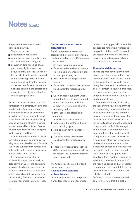Acquisition-related costs are expensed as incurred.

The excess of the

- **Consideration transferred.**
- **amount of any non-controlling inter**est in the acquired entity, and
- $\blacksquare$  acquisition-date fair value of any previous equity interest in the acquired entity over the fair value of the net identifiable assets acquired is recorded as goodwill. If those amounts are less than the fair value of the net identifiable assets of the business acquired, the difference is recognized directly in profit or loss as a bargain purchase.

Where settlement of any part of cash consideration is deferred, the amounts payable in the future are discounted to their present value as at the date of exchange. The discount rate used is the Group's incremental borrowing rate, being the rate at which a similar borrowing could be obtained from an independent financier under comparable terms and conditions.

Contingent consideration is classified either as equity or a financial liability. Amounts classified as a financial liability are subsequently remeasured to fair value with changes in fair value recognized in profit or loss.

If a business combination is achieved in stages, the acquisition date carrying value of the acquirer's previously held equity interest in the acquiree is remeasured to fair value at the acquisition date. Any gains or losses arising from such remeasurement are recognized in profit or loss.

### **Current versus non-current classification**

The Group presents assets and liabilities in the statement of financial position based on current/non-current classification.

An asset is current when it is:

- Expected to be realised or intended to be sold or consumed in the normal operating cycle
- $\blacksquare$  Held primarily for the purpose of trading
- Expected to be realised within twelve months after the reporting period
- Or
- Cash or cash equivalent unless restricted from being exchanged or used to settle a liability for at least twelve months after the reporting period

All other assets are classified as non-current.

A liability is current when it is:

- Expected to be settled in the normal operating cycle
- $\blacksquare$  Held primarily for the purpose of trading
- Due to be settled within twelve months after the reporting period
- Or
- There is no unconditional right to defer the settlement of the liability for at least twelve months after the reporting period

The Group classifies all other liabilities as non-current.

### **Revenue from contracts with customers**

Asset management fees and performance fees income are recognised

in the accounting period in which the services are rendered, by reference to completion of the specific transaction assessed on the basis of the actual service provided as a proportion of the services to be provided.

### **Current and deferred tax**

The tax expense for the period comprises current and deferred tax. Tax is recognised in profit or loss, except to the extent that it relates to items recognised in other comprehensive income or directly in equity. In this case, the tax is also recognised in other comprehensive income or directly in equity, respectively.

Deferred tax is recognised, using the liability method, on temporary differences arising between the tax bases of assets and liabilities and their carrying amounts in the consolidated financial statements. However, deferred tax liabilities are not recognised if they arise from the initial recognition of goodwill; deferred tax is not accounted for if it arises from initial recognition of an asset or liability in a transaction other than a business combination that at the time of the transaction affects neither accounting nor taxable profit or loss. Deferred tax is determined using tax rates (and laws) that have been enacted or substantially enacted by the end of the reporting period and are expected to apply when the related deferred tax asset is realised or the deferred tax liability is settled.

Deferred tax assets are recognised only to the extent that it is proba-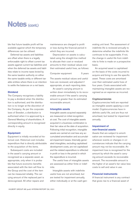ble that future taxable profit will be available against which the temporary differences can be utilised.

Deferred tax assets and liabilities are offset when there is a legally enforceable right to offset current tax assets against current tax liabilities and when the deferred tax assets and liabilities relate to income taxes levied by the same taxation authority on either the same taxable entity or different taxable entities where there is an intention to settle the balances on a net basis.

### **Dividend**

The Company recognises a liability to pay a dividend when the distribution is authorised, and the distribution is no longer at the discretion of the Company. As per the corporate laws of Sweden, a distribution is authorised when it is approved by a General Meeting of shareholders. A corresponding amount is recognised directly in equity.

### **Equipment**

Equipment is initially recorded at historical cost. Historical cost includes expenditure that is directly attributable to the acquisition of the items.

Subsequent costs are included in the asset's carrying amount or recognised as a separate asset, as appropriate, only when it is probable that future economic benefits associated with the item will flow to the Group and the cost of the item can be measured reliably. The carrying amount of the replaced part is derecognised. All other repairs and

maintenance are charged to profit or loss during the financial period in which they are incurred.

Depreciation on assets is calculated using the straight-line method to allocate their cost or revalued amounts to their residual values over their estimated useful lives, as follows:

Computer equipment 5 years

The assets residual values and useful lives are reviewed, and adjusted if appropriate, at each reporting date.

An asset's carrying amount is written down immediately to its recoverable amount if the asset's carrying amount is greater than its estimated recoverable amount.

### **Intangible assets**

Intangible assets acquired separately are measured on initial recognition at cost. The cost of intangible assets acquired in a business combination is their fair value at the date of acquisition. Following initial recognition, intangible assets are carried at cost less any accumulated amortisation and accumulated impairment losses. Internally generated intangibles, excluding capitalised development costs, are not capitalised and the related expenditure is reflected in profit or loss in the period in which the expenditure is incurred.

The useful lives of intangible assets are assessed as either finite or indefinite.

Intangible assets with indefinite useful lives are not amortised, but are tested for impairment annually, either individually or at the cash-gen-

erating unit level. The assessment of indefinite life is reviewed annually to determine whether the indefinite life continues to be supportable. If not, the change in useful life from indefinite to finite is made on a prospective basis.

An acquired asset is capitalised on the basis of the costs incurred to acquire and bring to use the specific asset. These costs are amortised over their estimated useful lives of four years. Costs associated with maintaining intangible assets are recognised as an expense as incurred.

#### **Cryptocurrencies**

Cryptocurrencies held are reported as intangible assets applying a cost model. Cryptocurrencies have indefinite useful life, and are thus not amortised, but tested for impairment annually.

### **Impairment of non-financial assets**

Assets that are subject to amortisation are reviewed for impairment whenever events or changes in circumstances indicate that the carrying amount may not be recoverable. An impairment loss is recognised for the amount by which the asset's carrying amount exceeds its recoverable amount. The recoverable amount is the higher of an asset's fair value less costs to sell and value in use.

### **Financial instruments**

A financial instrument is any contract that gives rise to a financial asset of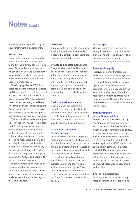one entity and a financial liability or equity instrument of another entity.

### **Receivables**

Receivables comprise amounts due from customers for services performed in the ordinary course of business. Receivables are recognised initially at fair value and subsequently measured at amortised cost using the effective interest method, less expected credit losses.

The Group applies the IFRS 9 simplified approach to measuring expected credit losses which uses a lifetime expected loss allowance for all trade receivables. To measure the expected credit losses, receivables are grouped based on shared credit risk characteristics and the days past due. The expected loss rates are based on the payment profiles and historical credit losses of the Group.

The historical loss rates are adjusted to reflect current and forward-looking information on macroeconomic factors affecting the ability of the customers to settle the receivables.

Receivables are written off when there is no reasonable expectation of recovery. Indicators that there is no reasonable expectation of recovery include, amongst others, the failure of a debtor to engage in a repayment plan with the Group, and a failure to make contractual payments.

Impairment losses on receivables are presented net of impairment losses within operating profit. Subsequent recoveries of amounts previously written off are credited against the same line item.

### **Liabilities**

Trade payables are initially recognised at fair value and are subsequently measured at amortised cost using the effective interest rate method.

### **Offsetting financial instruments**

Financial assets and liabilities are offset, and the net amount reported in the statement of financial position when there is a legally enforceable right to set off the recognised amounts and there is an intention to settle on a net basis, or realise the asset and settle the liability simultaneously.

#### **Cash and cash equivalents**

Cash and cash equivalents are carried in the statement of financial position at face value, less expected credit losses. In the statement of cash flows, cash and cash equivalents include deposits held with banks.

### **Assets held on behalf of third parties**

Assets held on behalf of third parties pertain to client assets which are held with the Group in a fiduciary capacity and are segregated from the assets of the Group. Client assets are held with reputable financial institutions.

The Group is not liable for any act, omission of and/or other circumstance affecting the financial institutions entrusted by the Group to hold client assets. Accordingly, client assets are not presented within the Group's statements of financial position.

### **Share capital**

Ordinary shares are classified as equity. Incremental costs directly attributable to the issue of new ordinary shares are shown in equity as a deduction, net of tax, from the proceeds.

#### **Reserves in equity**

Reserves comprise translation reserves that include all exchange rate differences that arise on translation to Swedish kronor (SEK) of foreign operations' financial statements prepared in the currency used in the economic environment where the respective company operates (functional currency). The parent company and the Group prepare financial statements in SEK.

### **Parent company accounting principles**

The parent company Hilbert Group AB prepares financial statements in accordance with the Swedish Annual Accounts Act recommendation RFR2, Accounting for legal entities of the Swedish Financial Reporting Board. RFR2 prescribes the amendments and exceptions from IFRS applicable to the parent company. This means that all IFRS standards and statements shall be applied when possible within the frame of the Annual Accounts Act with consideration taken to Swedish legislation in accounting and taxation.

### **Shares in subsidiaries**

Holdings in subsidiaries are recognized according to the cost method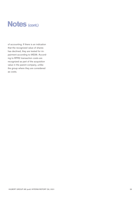of accounting. If there is an indication that the recognized value of shares has declined, they are tested for impairment according to IAS36. According to RFR2 transaction costs are recognized as part of the acquisition value in the parent company, unlike the group where they are considered as costs.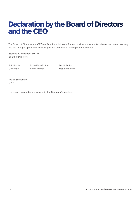### **Declaration by the Board of Directors and the CEO**

The Board of Directors and CEO confirm that this Interim Report provides a true and fair view of the parent company and the Group's operations, financial position and results for the period concerned.

Stockholm, November 30, 2021 Board of Directors

Erik Nerpin Frode Foss-Skiftesvik David Butler *Chairman Board member Board member*

Niclas Sandström *CEO*

The report has not been reviewed by the Company's auditors.